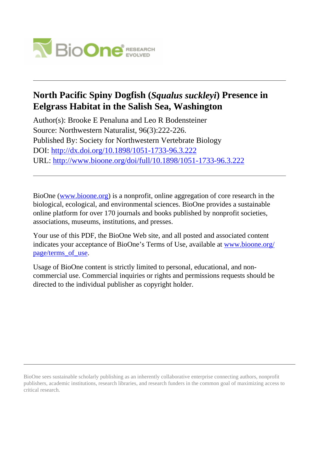

## **North Pacific Spiny Dogfish (***Squalus suckleyi***) Presence in Eelgrass Habitat in the Salish Sea, Washington**

Author(s): Brooke E Penaluna and Leo R Bodensteiner Source: Northwestern Naturalist, 96(3):222-226. Published By: Society for Northwestern Vertebrate Biology DOI:<http://dx.doi.org/10.1898/1051-1733-96.3.222> URL: <http://www.bioone.org/doi/full/10.1898/1051-1733-96.3.222>

BioOne [\(www.bioone.org\)](http://www.bioone.org) is a nonprofit, online aggregation of core research in the biological, ecological, and environmental sciences. BioOne provides a sustainable online platform for over 170 journals and books published by nonprofit societies, associations, museums, institutions, and presses.

Your use of this PDF, the BioOne Web site, and all posted and associated content indicates your acceptance of BioOne's Terms of Use, available at [www.bioone.org/](http://www.bioone.org/page/terms_of_use) page/terms of use.

Usage of BioOne content is strictly limited to personal, educational, and noncommercial use. Commercial inquiries or rights and permissions requests should be directed to the individual publisher as copyright holder.

BioOne sees sustainable scholarly publishing as an inherently collaborative enterprise connecting authors, nonprofit publishers, academic institutions, research libraries, and research funders in the common goal of maximizing access to critical research.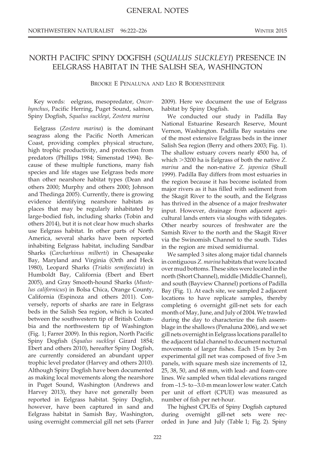## NORTH PACIFIC SPINY DOGFISH (SQUALUS SUCKLEYI) PRESENCE IN EELGRASS HABITAT IN THE SALISH SEA, WASHINGTON

BROOKE E PENALUNA AND LEO R BODENSTEINER

Key words: eelgrass, mesopredator, Oncorhynchus, Pacific Herring, Puget Sound, salmon, Spiny Dogfish, Squalus suckleyi, Zostera marina

Eelgrass (Zostera marina) is the dominant seagrass along the Pacific North American Coast, providing complex physical structure, high trophic productivity, and protection from predators (Phillips 1984; Simenstad 1994). Because of these multiple functions, many fish species and life stages use Eelgrass beds more than other nearshore habitat types (Dean and others 2000; Murphy and others 2000; Johnson and Thedinga 2005). Currently, there is growing evidence identifying nearshore habitats as places that may be regularly inhabitated by large-bodied fish, including sharks (Tobin and others 2014), but it is not clear how much sharks use Eelgrass habitat. In other parts of North America, several sharks have been reported inhabiting Eelgrass habitat, including Sandbar Sharks (Carcharhinus milberti) in Chesapeake Bay, Maryland and Virginia (Orth and Heck 1980), Leopard Sharks (Triakis semifasciata) in Humboldt Bay, California (Ebert and Ebert 2005), and Gray Smooth-hound Sharks (Mustelus californicus) in Bolsa Chica, Orange County, California (Espinoza and others 2011). Conversely, reports of sharks are rare in Eelgrass beds in the Salish Sea region, which is located between the southwestern tip of British Columbia and the northwestern tip of Washington (Fig. 1; Farrer 2009). In this region, North Pacific Spiny Dogfish (Squalus suckleyi Girard 1854; Ebert and others 2010), hereafter Spiny Dogfish, are currently considered an abundant upper trophic level predator (Harvey and others 2010). Although Spiny Dogfish have been documented as making local movements along the nearshore in Puget Sound, Washington (Andrews and Harvey 2013), they have not generally been reported in Eelgrass habitat. Spiny Dogfish, however, have been captured in sand and Eelgrass habitat in Samish Bay, Washington, using overnight commercial gill net sets (Farrer

2009). Here we document the use of Eelgrass habitat by Spiny Dogfish.

We conducted our study in Padilla Bay National Estuarine Research Reserve, Mount Vernon, Washington. Padilla Bay sustains one of the most extensive Eelgrass beds in the inner Salish Sea region (Berry and others 2003; Fig. 1). The shallow estuary covers nearly 4500 ha, of which  $>3200$  ha is Eelgrass of both the native Z. marina and the non-native Z. japonica (Shull 1999). Padilla Bay differs from most estuaries in the region because it has become isolated from major rivers as it has filled with sediment from the Skagit River to the south, and the Eelgrass has thrived in the absence of a major freshwater input. However, drainage from adjacent agricultural lands enters via sloughs with tidegates. Other nearby sources of freshwater are the Samish River to the north and the Skagit River via the Swinomish Channel to the south. Tides in the region are mixed semidiurnal.

We sampled 3 sites along major tidal channels in contiguous Z. marina habitats that were located over mud bottoms. These sites were located in the north (Short Channel), middle (Middle Channel), and south (Bayview Channel) portions of Padilla Bay (Fig. 1). At each site, we sampled 2 adjacent locations to have replicate samples, thereby completing 6 overnight gill-net sets for each month of May, June, and July of 2004. We trawled during the day to characterize the fish assemblage in the shallows (Penaluna 2006), and we set gill nets overnight in Eelgrass locations parallel to the adjacent tidal channel to document nocturnal movements of larger fishes. Each 15-m by 2-m experimental gill net was composed of five 3-m panels, with square mesh size increments of 12, 25, 38, 50, and 68 mm, with lead- and foam-core lines. We sampled when tidal elevations ranged from –1.5- to –3.0-m mean lower low water. Catch per unit of effort (CPUE) was measured as number of fish per net-hour.

The highest CPUEs of Spiny Dogfish captured during overnight gill-net sets were recorded in June and July (Table 1; Fig. 2). Spiny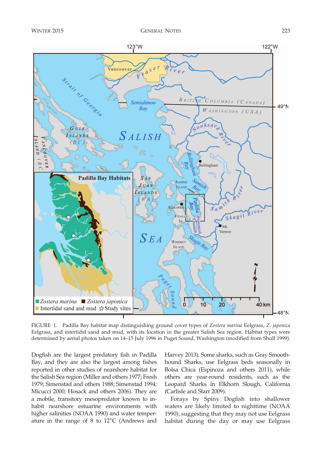

FIGURE 1. Padilla Bay habitat map distinguishing ground cover types of Zostera marina Eelgrass, Z. japonica Eelgrass, and intertidal sand and mud, with its location in the greater Salish Sea region. Habitat types were determined by aerial photos taken on 14–15 July 1996 in Puget Sound, Washington (modified from Shull 1999).

Dogfish are the largest predatory fish in Padilla Bay, and they are also the largest among fishes reported in other studies of nearshore habitat for the Salish Sea region (Miller and others 1977; Fresh 1979; Simenstad and others 1988; Simenstad 1994; Micucci 2000; Hosack and others 2006). They are a mobile, transitory mesopredator known to inhabit nearshore estuarine environments with higher salinities (NOAA 1990) and water temperature in the range of  $8$  to  $12^{\circ}$ C (Andrews and

Harvey 2013). Some sharks, such as Gray Smoothhound Sharks, use Eelgrass beds seasonally in Bolsa Chica (Espinoza and others 2011), while others are year-round residents, such as the Leopard Sharks in Elkhorn Slough, California (Carlisle and Starr 2009).

Forays by Spiny Dogfish into shallower waters are likely limited to nighttime (NOAA 1990), suggesting that they may not use Eelgrass habitat during the day or may use Eelgrass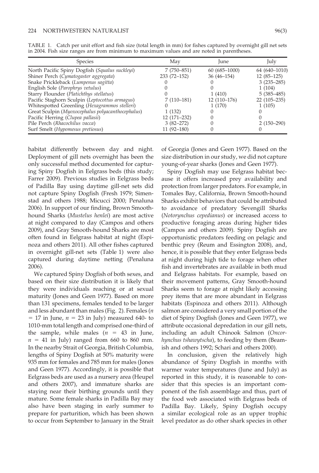| <b>Species</b>                                    | May             | <i>lune</i>      | July          |
|---------------------------------------------------|-----------------|------------------|---------------|
| North Pacific Spiny Dogfish (Squalus suckleyi)    | $7(750-851)$    | $60(685 - 1000)$ | 64 (640-1010) |
| Shiner Perch (Cymatogaster aggregata)             | $233(72 - 152)$ | $36(46-154)$     | $12(85-125)$  |
| Snake Prickleback (Lumpenus sagitta)              |                 |                  | $3(235-285)$  |
| English Sole (Parophrys vetulus)                  |                 |                  | 1(104)        |
| Starry Flounder (Platichthys stellatus)           |                 | 1(410)           | $5(385-485)$  |
| Pacific Staghorn Sculpin (Leptocottus armagus)    | $7(110-181)$    | $12(110-176)$    | $22(105-235)$ |
| Whitespotted Greenling (Hexagrammos stelleri)     |                 | 1(170)           | 1(105)        |
| Great Sculpin (Myoxocephalus polyacanthocephalus) | 1(132)          |                  |               |
| Pacific Herring (Clupea pallasii)                 | $12(171-232)$   |                  |               |
| Pile Perch (Rhacochilus vacca)                    | $3(82 - 272)$   |                  | $2(150-290)$  |
| Surf Smelt (Hypomesus pretiosus)                  | $11(92 - 180)$  |                  |               |

TABLE 1. Catch per unit effort and fish size (total length in mm) for fishes captured by overnight gill net sets in 2004. Fish size ranges are from minimum to maximum values and are noted in parentheses.

habitat differently between day and night. Deployment of gill nets overnight has been the only successful method documented for capturing Spiny Dogfish in Eelgrass beds (this study; Farrer 2009). Previous studies in Eelgrass beds of Padilla Bay using daytime gill-net sets did not capture Spiny Dogfish (Fresh 1979; Simenstad and others 1988; Micucci 2000; Penaluna 2006). In support of our finding, Brown Smoothhound Sharks (Mustelus henlei) are most active at night compared to day (Campos and others 2009), and Gray Smooth-hound Sharks are most often found in Eelgrass habitat at night (Espinoza and others 2011). All other fishes captured in overnight gill-net sets (Table 1) were also captured during daytime netting (Penaluna 2006).

We captured Spiny Dogfish of both sexes, and based on their size distribution it is likely that they were individuals reaching or at sexual maturity (Jones and Geen 1977). Based on more than 131 specimens, females tended to be larger and less abundant than males (Fig. 2). Females ( $n$  $= 17$  in June,  $n = 23$  in July) measured 640- to 1010-mm total length and comprised one-third of the sample, while males  $(n = 43$  in June,  $n = 41$  in July) ranged from 660 to 860 mm. In the nearby Strait of Georgia, British Columbia, lengths of Spiny Dogfish at 50% maturity were 935 mm for females and 785 mm for males (Jones and Geen 1977). Accordingly, it is possible that Eelgrass beds are used as a nursery area (Heupel and others 2007), and immature sharks are staying near their birthing grounds until they mature. Some female sharks in Padilla Bay may also have been staging in early summer to prepare for parturition, which has been shown to occur from September to January in the Strait of Georgia (Jones and Geen 1977). Based on the size distribution in our study, we did not capture young-of-year sharks (Jones and Geen 1977).

Spiny Dogfish may use Eelgrass habitat because it offers increased prey availability and protection from larger predators. For example, in Tomales Bay, California, Brown Smooth-hound Sharks exhibit behaviors that could be attributed to avoidance of predatory Sevengill Sharks (Notorynchus cepedianus) or increased access to productive foraging areas during higher tides (Campos and others 2009). Spiny Dogfish are opportunistic predators feeding on pelagic and benthic prey (Reum and Essington 2008), and, hence, it is possible that they enter Eelgrass beds at night during high tide to forage when other fish and invertebrates are available in both mud and Eelgrass habitats. For example, based on their movement patterns, Gray Smooth-hound Sharks seem to forage at night likely accessing prey items that are more abundant in Eelgrass habitats (Espinoza and others 2011). Although salmon are considered a very small portion of the diet of Spiny Dogfish (Jones and Geen 1977), we attribute occasional depredation in our gill nets, including an adult Chinook Salmon (Oncorhynchus tshawytscha), to feeding by them (Beamish and others 1992; Schari and others 2000).

In conclusion, given the relatively high abundance of Spiny Dogfish in months with warmer water temperatures (June and July) as reported in this study, it is reasonable to consider that this species is an important component of the fish assemblage and thus, part of the food web associated with Eelgrass beds of Padilla Bay. Likely, Spiny Dogfish occupy a similar ecological role as an upper trophic level predator as do other shark species in other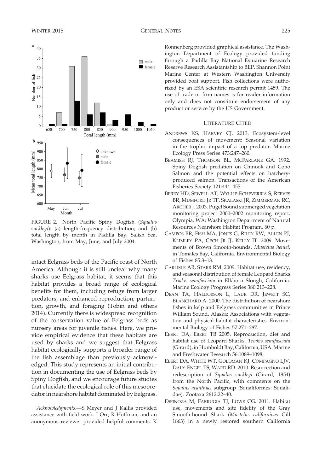$40$ 35

30

Number of fish 25 20 15 10 5  $\mathbf{0}$ 650 700 750 800 850 900 950  $1000\,$ 1050

 $b_{950}$ 900

850

Jun

Month

Jul

Mean total length (mm)



Ronnenberg provided graphical assistance. The Washington Department of Ecology provided funding through a Padilla Bay National Estuarine Research  $\Box$  male  $\blacksquare$  female Reserve Research Assistantship to BEP. Shannon Point Marine Center at Western Washington University provided boat support. Fish collections were authorized by an ESA scientific research permit 1459. The use of trade or firm names is for reader information only and does not constitute endorsement of any product or service by the US Government.

## LITERATURE CITED

- ANDREWS KS, HARVEY CJ. 2013. Ecosystem-level consequences of movement: Seasonal variation in the trophic impact of a top predator. Marine Ecology Press Series 473:247–260.
- BEAMISH RJ, THOMSON BL, MCFARLANE GA. 1992. Spiny Dogfish predation on Chinook and Coho Salmon and the potential effects on hatcheryproduced salmon. Transactions of the American Fisheries Society 121:444–455.
- BERRY HD, SEWELL AT, WYLLIE-ECHEVERRIA S, REEVES BR, MUMFORD JR TF, SKALASKI JR, ZIMMERMAN RC, ARCHER J. 2003. Puget Sound submerged vegetation monitoring project 2000–2002 monitoring report. Olympia, WA: Washington Department of Natural Resources Nearshore Habitat Program. 60 p.
- CAMPOS BR, FISH MA, JONES G, RILEY RW, ALLEN PJ, KLIMLEY PA, CECH JR JJ, KELLY JT. 2009. Movements of Brown Smooth-hounds, Mustelus henlei, in Tomales Bay, California. Environmental Biology of Fishes 85:3–13.
- CARLISLE AB, STARR RM. 2009. Habitat use, residency, and seasonal distribution of female Leopard Sharks Triakis semifasciata in Elkhorn Slough, California. Marine Ecology Progress Series 380:213–228.
- DEAN TA, HALDORSON L, LAUR DR, JEWETT SC, BLANCHARD A. 2000. The distribution of nearshore fishes in kelp and Eelgrass communities in Prince William Sound, Alaska: Associations with vegetation and physical habitat characteristics. Environmental Biology of Fishes 57:271–287.
- EBERT DA, EBERT TB 2005. Reproduction, diet and habitat use of Leopard Sharks, Triakis semifasciata (Girard), in Humboldt Bay, California, USA. Marine and Freshwater Research 56:1089–1098.
- EBERT DA, WHITE WT, GOLDMAN KJ, COMPAGNO LJV, DALY-ENGEL TS, WARD RD. 2010. Resurrection and redescription of Squalus suckleyi (Girard, 1854) from the North Pacific, with comments on the Squalus acanthias subgroup (Squaliformes: Squalidae). Zootaxa 2612:22–40.
- ESPINOZA M, FARRUGIA TJ, LOWE CG. 2011. Habitat use, movements and site fidelity of the Gray Smooth-hound Shark (Mustelus californicus Gill 1863) in a newly restored southern California



Total length (mm)

 $\diamond$  unknown

 $\bullet$  male

 $\bullet$  female

intact Eelgrass beds of the Pacific coast of North America. Although it is still unclear why many sharks use Eelgrass habitat, it seems that this habitat provides a broad range of ecological benefits for them, including refuge from larger predators, and enhanced reproduction, parturition, growth, and foraging (Tobin and others 2014). Currently there is widespread recognition of the conservation value of Eelgrass beds as nursery areas for juvenile fishes. Here, we provide empirical evidence that these habitats are used by sharks and we suggest that Eelgrass habitat ecologically supports a broader range of the fish assemblage than previously acknowledged. This study represents an initial contribution in documenting the use of Eelgrass beds by Spiny Dogfish, and we encourage future studies that elucidate the ecological role of this mesopredator in nearshore habitat dominated by Eelgrass.

Acknowledgments.—S Meyer and J Kallis provided assistance with field work. J Orr, R Hoffman, and an anonymous reviewer provided helpful comments. K